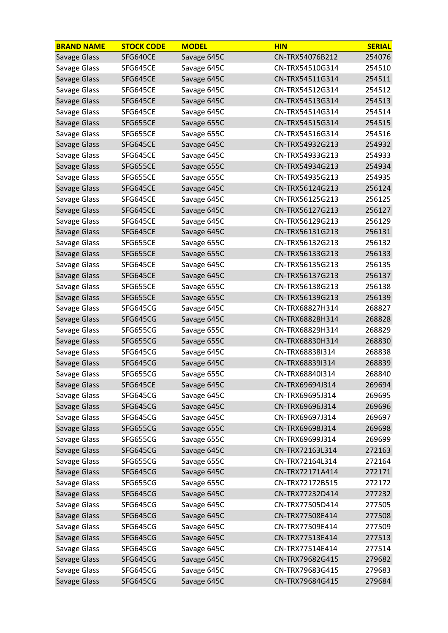| <b>BRAND NAME</b> | <b>STOCK CODE</b> | <b>MODEL</b> | <b>HIN</b>      | <b>SERIAL</b> |
|-------------------|-------------------|--------------|-----------------|---------------|
| Savage Glass      | SFG640CE          | Savage 645C  | CN-TRX54076B212 | 254076        |
| Savage Glass      | SFG645CE          | Savage 645C  | CN-TRX54510G314 | 254510        |
| Savage Glass      | SFG645CE          | Savage 645C  | CN-TRX54511G314 | 254511        |
| Savage Glass      | SFG645CE          | Savage 645C  | CN-TRX54512G314 | 254512        |
| Savage Glass      | SFG645CE          | Savage 645C  | CN-TRX54513G314 | 254513        |
| Savage Glass      | SFG645CE          | Savage 645C  | CN-TRX54514G314 | 254514        |
| Savage Glass      | SFG655CE          | Savage 655C  | CN-TRX54515G314 | 254515        |
| Savage Glass      | SFG655CE          | Savage 655C  | CN-TRX54516G314 | 254516        |
| Savage Glass      | SFG645CE          | Savage 645C  | CN-TRX54932G213 | 254932        |
| Savage Glass      | SFG645CE          | Savage 645C  | CN-TRX54933G213 | 254933        |
| Savage Glass      | SFG655CE          | Savage 655C  | CN-TRX54934G213 | 254934        |
| Savage Glass      | SFG655CE          | Savage 655C  | CN-TRX54935G213 | 254935        |
| Savage Glass      | SFG645CE          | Savage 645C  | CN-TRX56124G213 | 256124        |
| Savage Glass      | SFG645CE          | Savage 645C  | CN-TRX56125G213 | 256125        |
| Savage Glass      | SFG645CE          | Savage 645C  | CN-TRX56127G213 | 256127        |
| Savage Glass      | SFG645CE          | Savage 645C  | CN-TRX56129G213 | 256129        |
| Savage Glass      | SFG645CE          | Savage 645C  | CN-TRX56131G213 | 256131        |
| Savage Glass      | SFG655CE          | Savage 655C  | CN-TRX56132G213 | 256132        |
| Savage Glass      | SFG655CE          | Savage 655C  | CN-TRX56133G213 | 256133        |
| Savage Glass      | SFG645CE          | Savage 645C  | CN-TRX56135G213 | 256135        |
| Savage Glass      | SFG645CE          | Savage 645C  | CN-TRX56137G213 | 256137        |
| Savage Glass      | SFG655CE          | Savage 655C  | CN-TRX56138G213 | 256138        |
| Savage Glass      | SFG655CE          | Savage 655C  | CN-TRX56139G213 | 256139        |
| Savage Glass      | SFG645CG          | Savage 645C  | CN-TRX68827H314 | 268827        |
| Savage Glass      | SFG645CG          | Savage 645C  | CN-TRX68828H314 | 268828        |
| Savage Glass      | SFG655CG          | Savage 655C  | CN-TRX68829H314 | 268829        |
| Savage Glass      | SFG655CG          | Savage 655C  | CN-TRX68830H314 | 268830        |
| Savage Glass      | SFG645CG          | Savage 645C  | CN-TRX68838I314 | 268838        |
| Savage Glass      | SFG645CG          | Savage 645C  | CN-TRX68839I314 | 268839        |
| Savage Glass      | SFG655CG          | Savage 655C  | CN-TRX68840I314 | 268840        |
| Savage Glass      | SFG645CE          | Savage 645C  | CN-TRX69694J314 | 269694        |
| Savage Glass      | SFG645CG          | Savage 645C  | CN-TRX69695J314 | 269695        |
| Savage Glass      | SFG645CG          | Savage 645C  | CN-TRX69696J314 | 269696        |
| Savage Glass      | SFG645CG          | Savage 645C  | CN-TRX69697J314 | 269697        |
| Savage Glass      | SFG655CG          | Savage 655C  | CN-TRX69698J314 | 269698        |
| Savage Glass      | SFG655CG          | Savage 655C  | CN-TRX69699J314 | 269699        |
| Savage Glass      | SFG645CG          | Savage 645C  | CN-TRX72163L314 | 272163        |
| Savage Glass      | SFG655CG          | Savage 655C  | CN-TRX72164L314 | 272164        |
| Savage Glass      | SFG645CG          | Savage 645C  | CN-TRX72171A414 | 272171        |
| Savage Glass      | SFG655CG          | Savage 655C  | CN-TRX72172B515 | 272172        |
| Savage Glass      | SFG645CG          | Savage 645C  | CN-TRX77232D414 | 277232        |
| Savage Glass      | SFG645CG          | Savage 645C  | CN-TRX77505D414 | 277505        |
| Savage Glass      | SFG645CG          | Savage 645C  | CN-TRX77508E414 | 277508        |
| Savage Glass      | SFG645CG          | Savage 645C  | CN-TRX77509E414 | 277509        |
| Savage Glass      | SFG645CG          | Savage 645C  | CN-TRX77513E414 | 277513        |
| Savage Glass      | SFG645CG          | Savage 645C  | CN-TRX77514E414 | 277514        |
| Savage Glass      | SFG645CG          | Savage 645C  | CN-TRX79682G415 | 279682        |
| Savage Glass      | SFG645CG          | Savage 645C  | CN-TRX79683G415 | 279683        |
| Savage Glass      | SFG645CG          | Savage 645C  | CN-TRX79684G415 | 279684        |